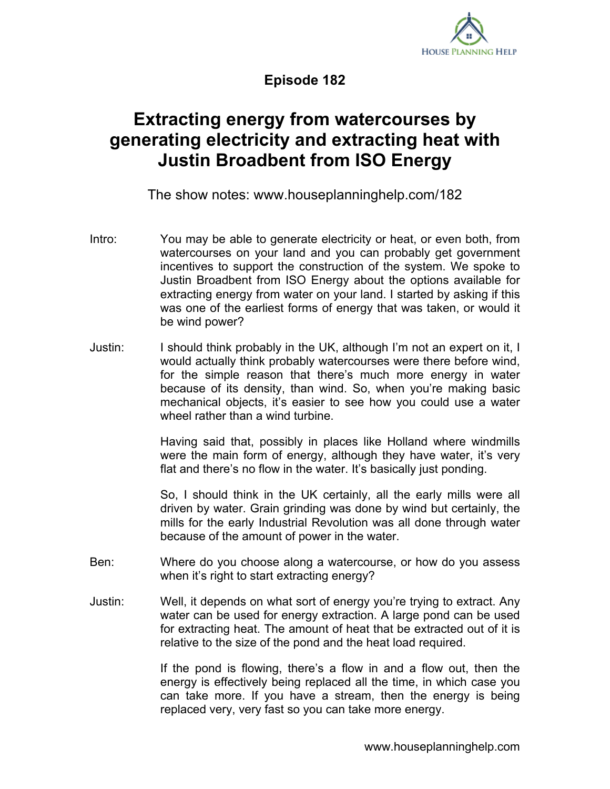

**Episode 182**

## **Extracting energy from watercourses by generating electricity and extracting heat with Justin Broadbent from ISO Energy**

The show notes: www.houseplanninghelp.com/182

- Intro: You may be able to generate electricity or heat, or even both, from watercourses on your land and you can probably get government incentives to support the construction of the system. We spoke to Justin Broadbent from ISO Energy about the options available for extracting energy from water on your land. I started by asking if this was one of the earliest forms of energy that was taken, or would it be wind power?
- Justin: I should think probably in the UK, although I'm not an expert on it, I would actually think probably watercourses were there before wind, for the simple reason that there's much more energy in water because of its density, than wind. So, when you're making basic mechanical objects, it's easier to see how you could use a water wheel rather than a wind turbine.

Having said that, possibly in places like Holland where windmills were the main form of energy, although they have water, it's very flat and there's no flow in the water. It's basically just ponding.

So, I should think in the UK certainly, all the early mills were all driven by water. Grain grinding was done by wind but certainly, the mills for the early Industrial Revolution was all done through water because of the amount of power in the water.

- Ben: Where do you choose along a watercourse, or how do you assess when it's right to start extracting energy?
- Justin: Well, it depends on what sort of energy you're trying to extract. Any water can be used for energy extraction. A large pond can be used for extracting heat. The amount of heat that be extracted out of it is relative to the size of the pond and the heat load required.

If the pond is flowing, there's a flow in and a flow out, then the energy is effectively being replaced all the time, in which case you can take more. If you have a stream, then the energy is being replaced very, very fast so you can take more energy.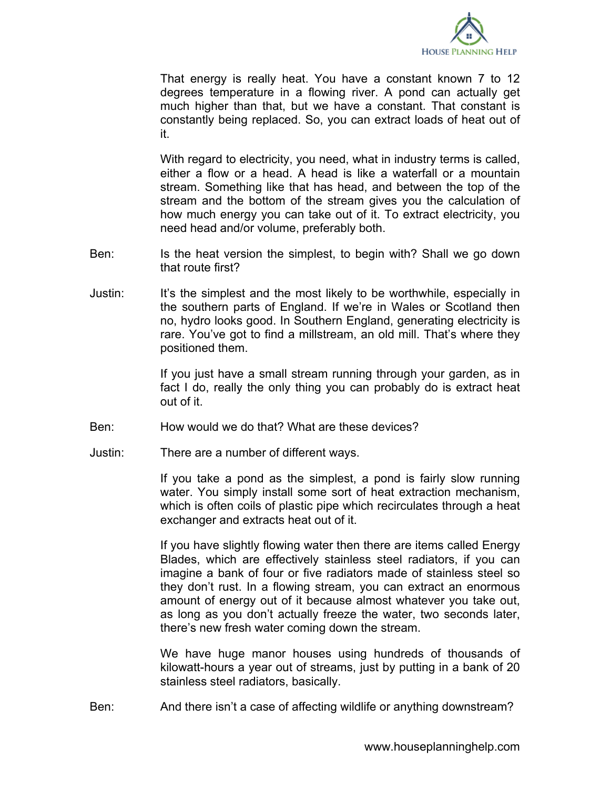

That energy is really heat. You have a constant known 7 to 12 degrees temperature in a flowing river. A pond can actually get much higher than that, but we have a constant. That constant is constantly being replaced. So, you can extract loads of heat out of it.

With regard to electricity, you need, what in industry terms is called, either a flow or a head. A head is like a waterfall or a mountain stream. Something like that has head, and between the top of the stream and the bottom of the stream gives you the calculation of how much energy you can take out of it. To extract electricity, you need head and/or volume, preferably both.

- Ben: Is the heat version the simplest, to begin with? Shall we go down that route first?
- Justin: It's the simplest and the most likely to be worthwhile, especially in the southern parts of England. If we're in Wales or Scotland then no, hydro looks good. In Southern England, generating electricity is rare. You've got to find a millstream, an old mill. That's where they positioned them.

If you just have a small stream running through your garden, as in fact I do, really the only thing you can probably do is extract heat out of it.

- Ben: How would we do that? What are these devices?
- Justin: There are a number of different ways.

If you take a pond as the simplest, a pond is fairly slow running water. You simply install some sort of heat extraction mechanism, which is often coils of plastic pipe which recirculates through a heat exchanger and extracts heat out of it.

If you have slightly flowing water then there are items called Energy Blades, which are effectively stainless steel radiators, if you can imagine a bank of four or five radiators made of stainless steel so they don't rust. In a flowing stream, you can extract an enormous amount of energy out of it because almost whatever you take out, as long as you don't actually freeze the water, two seconds later, there's new fresh water coming down the stream.

We have huge manor houses using hundreds of thousands of kilowatt-hours a year out of streams, just by putting in a bank of 20 stainless steel radiators, basically.

Ben: And there isn't a case of affecting wildlife or anything downstream?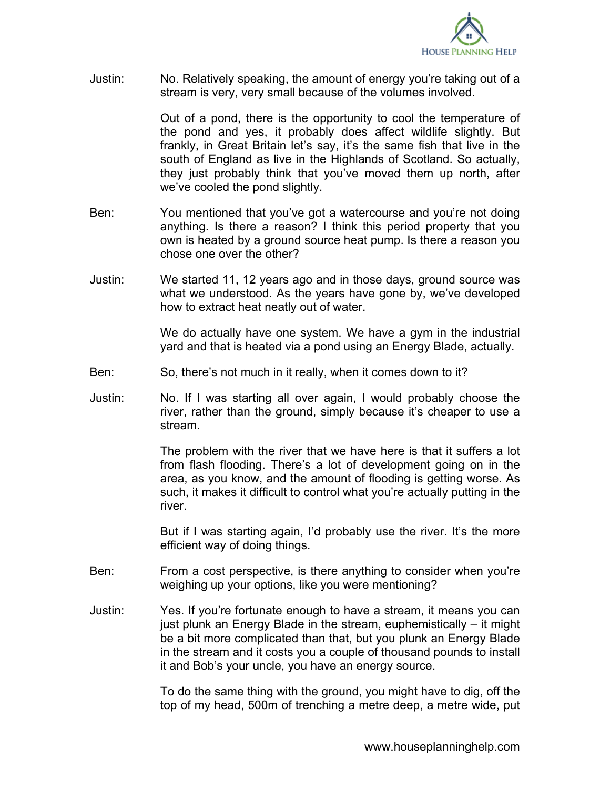

Justin: No. Relatively speaking, the amount of energy you're taking out of a stream is very, very small because of the volumes involved.

> Out of a pond, there is the opportunity to cool the temperature of the pond and yes, it probably does affect wildlife slightly. But frankly, in Great Britain let's say, it's the same fish that live in the south of England as live in the Highlands of Scotland. So actually, they just probably think that you've moved them up north, after we've cooled the pond slightly.

- Ben: You mentioned that you've got a watercourse and you're not doing anything. Is there a reason? I think this period property that you own is heated by a ground source heat pump. Is there a reason you chose one over the other?
- Justin: We started 11, 12 years ago and in those days, ground source was what we understood. As the years have gone by, we've developed how to extract heat neatly out of water.

We do actually have one system. We have a gym in the industrial yard and that is heated via a pond using an Energy Blade, actually.

- Ben: So, there's not much in it really, when it comes down to it?
- Justin: No. If I was starting all over again, I would probably choose the river, rather than the ground, simply because it's cheaper to use a stream.

The problem with the river that we have here is that it suffers a lot from flash flooding. There's a lot of development going on in the area, as you know, and the amount of flooding is getting worse. As such, it makes it difficult to control what you're actually putting in the river.

But if I was starting again, I'd probably use the river. It's the more efficient way of doing things.

- Ben: From a cost perspective, is there anything to consider when you're weighing up your options, like you were mentioning?
- Justin: Yes. If you're fortunate enough to have a stream, it means you can just plunk an Energy Blade in the stream, euphemistically – it might be a bit more complicated than that, but you plunk an Energy Blade in the stream and it costs you a couple of thousand pounds to install it and Bob's your uncle, you have an energy source.

To do the same thing with the ground, you might have to dig, off the top of my head, 500m of trenching a metre deep, a metre wide, put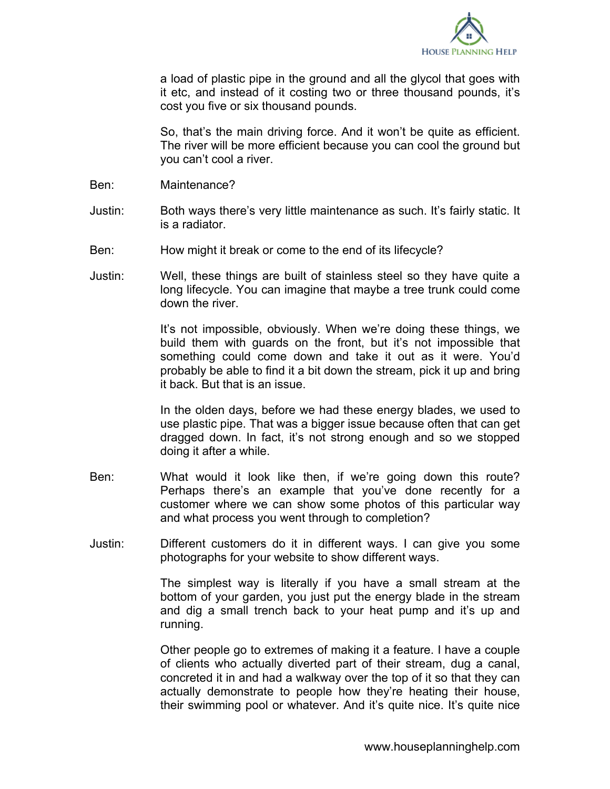

a load of plastic pipe in the ground and all the glycol that goes with it etc, and instead of it costing two or three thousand pounds, it's cost you five or six thousand pounds.

So, that's the main driving force. And it won't be quite as efficient. The river will be more efficient because you can cool the ground but you can't cool a river.

- Ben: Maintenance?
- Justin: Both ways there's very little maintenance as such. It's fairly static. It is a radiator.
- Ben: How might it break or come to the end of its lifecycle?
- Justin: Well, these things are built of stainless steel so they have quite a long lifecycle. You can imagine that maybe a tree trunk could come down the river.

It's not impossible, obviously. When we're doing these things, we build them with guards on the front, but it's not impossible that something could come down and take it out as it were. You'd probably be able to find it a bit down the stream, pick it up and bring it back. But that is an issue.

In the olden days, before we had these energy blades, we used to use plastic pipe. That was a bigger issue because often that can get dragged down. In fact, it's not strong enough and so we stopped doing it after a while.

- Ben: What would it look like then, if we're going down this route? Perhaps there's an example that you've done recently for a customer where we can show some photos of this particular way and what process you went through to completion?
- Justin: Different customers do it in different ways. I can give you some photographs for your website to show different ways.

The simplest way is literally if you have a small stream at the bottom of your garden, you just put the energy blade in the stream and dig a small trench back to your heat pump and it's up and running.

Other people go to extremes of making it a feature. I have a couple of clients who actually diverted part of their stream, dug a canal, concreted it in and had a walkway over the top of it so that they can actually demonstrate to people how they're heating their house, their swimming pool or whatever. And it's quite nice. It's quite nice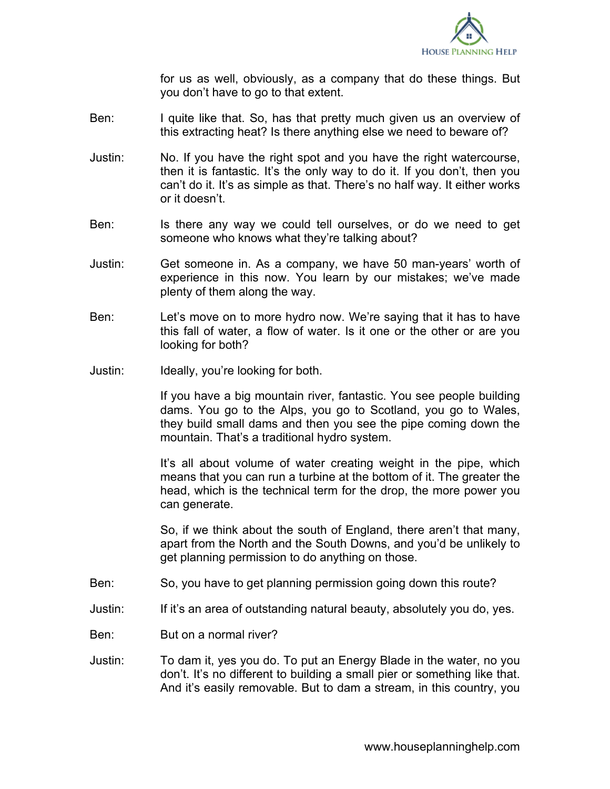

for us as well, obviously, as a company that do these things. But you don't have to go to that extent.

- Ben: I quite like that. So, has that pretty much given us an overview of this extracting heat? Is there anything else we need to beware of?
- Justin: No. If you have the right spot and you have the right watercourse, then it is fantastic. It's the only way to do it. If you don't, then you can't do it. It's as simple as that. There's no half way. It either works or it doesn't.
- Ben: Is there any way we could tell ourselves, or do we need to get someone who knows what they're talking about?
- Justin: Get someone in. As a company, we have 50 man-years' worth of experience in this now. You learn by our mistakes; we've made plenty of them along the way.
- Ben: Let's move on to more hydro now. We're saying that it has to have this fall of water, a flow of water. Is it one or the other or are you looking for both?
- Justin: Ideally, you're looking for both.

If you have a big mountain river, fantastic. You see people building dams. You go to the Alps, you go to Scotland, you go to Wales, they build small dams and then you see the pipe coming down the mountain. That's a traditional hydro system.

It's all about volume of water creating weight in the pipe, which means that you can run a turbine at the bottom of it. The greater the head, which is the technical term for the drop, the more power you can generate.

So, if we think about the south of England, there aren't that many, apart from the North and the South Downs, and you'd be unlikely to get planning permission to do anything on those.

- Ben: So, you have to get planning permission going down this route?
- Justin: If it's an area of outstanding natural beauty, absolutely you do, yes.
- Ben: But on a normal river?
- Justin: To dam it, yes you do. To put an Energy Blade in the water, no you don't. It's no different to building a small pier or something like that. And it's easily removable. But to dam a stream, in this country, you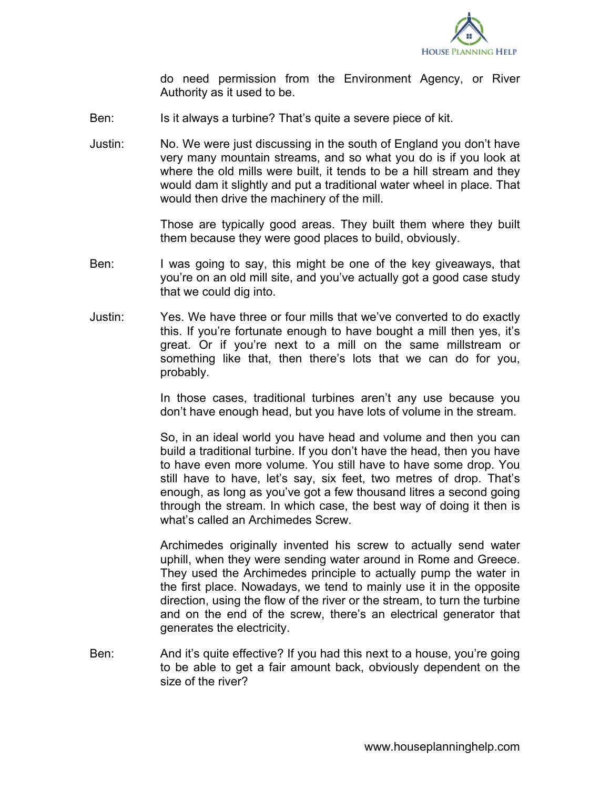

do need permission from the Environment Agency, or River Authority as it used to be.

- Ben: Is it always a turbine? That's quite a severe piece of kit.
- Justin: No. We were just discussing in the south of England you don't have very many mountain streams, and so what you do is if you look at where the old mills were built, it tends to be a hill stream and they would dam it slightly and put a traditional water wheel in place. That would then drive the machinery of the mill.

Those are typically good areas. They built them where they built them because they were good places to build, obviously.

- Ben: I was going to say, this might be one of the key giveaways, that you're on an old mill site, and you've actually got a good case study that we could dig into.
- Justin: Yes. We have three or four mills that we've converted to do exactly this. If you're fortunate enough to have bought a mill then yes, it's great. Or if you're next to a mill on the same millstream or something like that, then there's lots that we can do for you, probably.

In those cases, traditional turbines aren't any use because you don't have enough head, but you have lots of volume in the stream.

So, in an ideal world you have head and volume and then you can build a traditional turbine. If you don't have the head, then you have to have even more volume. You still have to have some drop. You still have to have, let's say, six feet, two metres of drop. That's enough, as long as you've got a few thousand litres a second going through the stream. In which case, the best way of doing it then is what's called an Archimedes Screw.

Archimedes originally invented his screw to actually send water uphill, when they were sending water around in Rome and Greece. They used the Archimedes principle to actually pump the water in the first place. Nowadays, we tend to mainly use it in the opposite direction, using the flow of the river or the stream, to turn the turbine and on the end of the screw, there's an electrical generator that generates the electricity.

Ben: And it's quite effective? If you had this next to a house, you're going to be able to get a fair amount back, obviously dependent on the size of the river?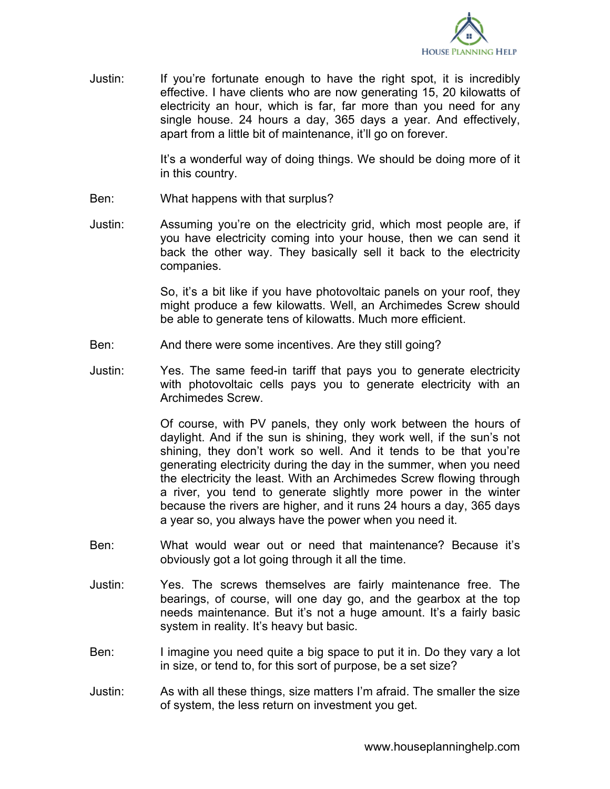

Justin: If you're fortunate enough to have the right spot, it is incredibly effective. I have clients who are now generating 15, 20 kilowatts of electricity an hour, which is far, far more than you need for any single house. 24 hours a day, 365 days a year. And effectively, apart from a little bit of maintenance, it'll go on forever.

> It's a wonderful way of doing things. We should be doing more of it in this country.

- Ben: What happens with that surplus?
- Justin: Assuming you're on the electricity grid, which most people are, if you have electricity coming into your house, then we can send it back the other way. They basically sell it back to the electricity companies.

So, it's a bit like if you have photovoltaic panels on your roof, they might produce a few kilowatts. Well, an Archimedes Screw should be able to generate tens of kilowatts. Much more efficient.

- Ben: And there were some incentives. Are they still going?
- Justin: Yes. The same feed-in tariff that pays you to generate electricity with photovoltaic cells pays you to generate electricity with an Archimedes Screw.

Of course, with PV panels, they only work between the hours of daylight. And if the sun is shining, they work well, if the sun's not shining, they don't work so well. And it tends to be that you're generating electricity during the day in the summer, when you need the electricity the least. With an Archimedes Screw flowing through a river, you tend to generate slightly more power in the winter because the rivers are higher, and it runs 24 hours a day, 365 days a year so, you always have the power when you need it.

- Ben: What would wear out or need that maintenance? Because it's obviously got a lot going through it all the time.
- Justin: Yes. The screws themselves are fairly maintenance free. The bearings, of course, will one day go, and the gearbox at the top needs maintenance. But it's not a huge amount. It's a fairly basic system in reality. It's heavy but basic.
- Ben: I imagine you need quite a big space to put it in. Do they vary a lot in size, or tend to, for this sort of purpose, be a set size?
- Justin: As with all these things, size matters I'm afraid. The smaller the size of system, the less return on investment you get.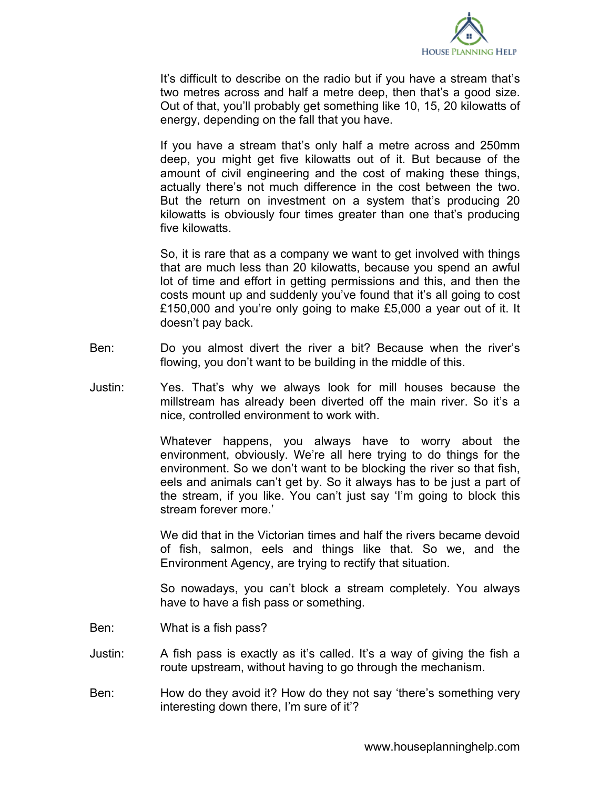

It's difficult to describe on the radio but if you have a stream that's two metres across and half a metre deep, then that's a good size. Out of that, you'll probably get something like 10, 15, 20 kilowatts of energy, depending on the fall that you have.

If you have a stream that's only half a metre across and 250mm deep, you might get five kilowatts out of it. But because of the amount of civil engineering and the cost of making these things, actually there's not much difference in the cost between the two. But the return on investment on a system that's producing 20 kilowatts is obviously four times greater than one that's producing five kilowatts.

So, it is rare that as a company we want to get involved with things that are much less than 20 kilowatts, because you spend an awful lot of time and effort in getting permissions and this, and then the costs mount up and suddenly you've found that it's all going to cost £150,000 and you're only going to make £5,000 a year out of it. It doesn't pay back.

- Ben: Do you almost divert the river a bit? Because when the river's flowing, you don't want to be building in the middle of this.
- Justin: Yes. That's why we always look for mill houses because the millstream has already been diverted off the main river. So it's a nice, controlled environment to work with.

Whatever happens, you always have to worry about the environment, obviously. We're all here trying to do things for the environment. So we don't want to be blocking the river so that fish, eels and animals can't get by. So it always has to be just a part of the stream, if you like. You can't just say 'I'm going to block this stream forever more.'

We did that in the Victorian times and half the rivers became devoid of fish, salmon, eels and things like that. So we, and the Environment Agency, are trying to rectify that situation.

So nowadays, you can't block a stream completely. You always have to have a fish pass or something.

- Ben: What is a fish pass?
- Justin: A fish pass is exactly as it's called. It's a way of giving the fish a route upstream, without having to go through the mechanism.
- Ben: How do they avoid it? How do they not say 'there's something very interesting down there, I'm sure of it'?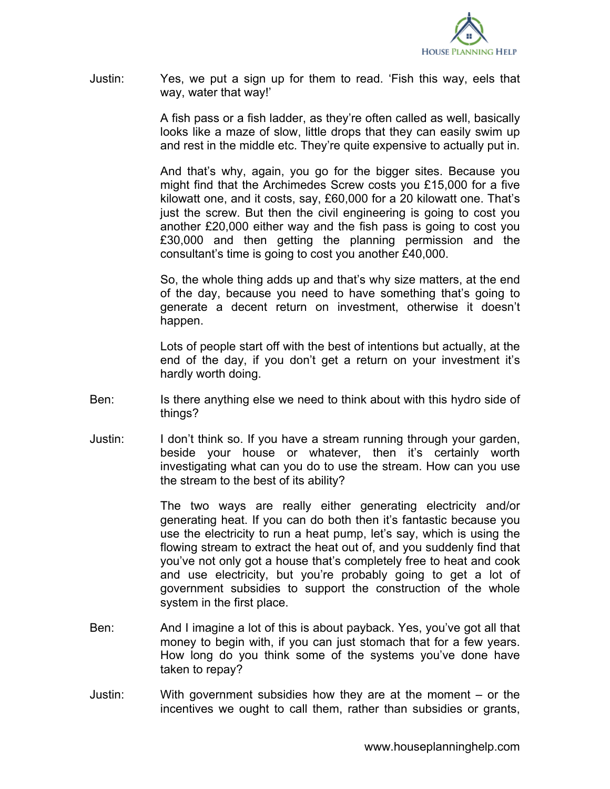

Justin: Yes, we put a sign up for them to read. 'Fish this way, eels that way, water that way!'

> A fish pass or a fish ladder, as they're often called as well, basically looks like a maze of slow, little drops that they can easily swim up and rest in the middle etc. They're quite expensive to actually put in.

> And that's why, again, you go for the bigger sites. Because you might find that the Archimedes Screw costs you £15,000 for a five kilowatt one, and it costs, say, £60,000 for a 20 kilowatt one. That's just the screw. But then the civil engineering is going to cost you another £20,000 either way and the fish pass is going to cost you £30,000 and then getting the planning permission and the consultant's time is going to cost you another £40,000.

> So, the whole thing adds up and that's why size matters, at the end of the day, because you need to have something that's going to generate a decent return on investment, otherwise it doesn't happen.

> Lots of people start off with the best of intentions but actually, at the end of the day, if you don't get a return on your investment it's hardly worth doing.

- Ben: Is there anything else we need to think about with this hydro side of things?
- Justin: I don't think so. If you have a stream running through your garden, beside your house or whatever, then it's certainly worth investigating what can you do to use the stream. How can you use the stream to the best of its ability?

The two ways are really either generating electricity and/or generating heat. If you can do both then it's fantastic because you use the electricity to run a heat pump, let's say, which is using the flowing stream to extract the heat out of, and you suddenly find that you've not only got a house that's completely free to heat and cook and use electricity, but you're probably going to get a lot of government subsidies to support the construction of the whole system in the first place.

- Ben: And I imagine a lot of this is about payback. Yes, you've got all that money to begin with, if you can just stomach that for a few years. How long do you think some of the systems you've done have taken to repay?
- Justin: With government subsidies how they are at the moment or the incentives we ought to call them, rather than subsidies or grants,